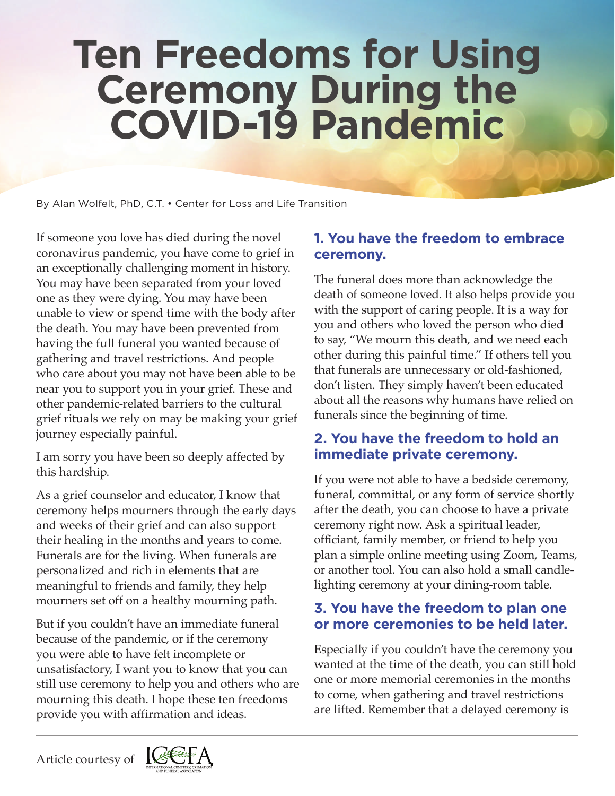# **Ten Freedoms for Using Ceremony During the COVID-19 Pandemic**

By Alan Wolfelt, PhD, C.T. • Center for Loss and Life Transition

If someone you love has died during the novel coronavirus pandemic, you have come to grief in an exceptionally challenging moment in history. You may have been separated from your loved one as they were dying. You may have been unable to view or spend time with the body after the death. You may have been prevented from having the full funeral you wanted because of gathering and travel restrictions. And people who care about you may not have been able to be near you to support you in your grief. These and other pandemic-related barriers to the cultural grief rituals we rely on may be making your grief journey especially painful.

I am sorry you have been so deeply affected by this hardship.

As a grief counselor and educator, I know that ceremony helps mourners through the early days and weeks of their grief and can also support their healing in the months and years to come. Funerals are for the living. When funerals are personalized and rich in elements that are meaningful to friends and family, they help mourners set off on a healthy mourning path.

But if you couldn't have an immediate funeral because of the pandemic, or if the ceremony you were able to have felt incomplete or unsatisfactory, I want you to know that you can still use ceremony to help you and others who are mourning this death. I hope these ten freedoms provide you with affirmation and ideas.

## **1. You have the freedom to embrace ceremony.**

The funeral does more than acknowledge the death of someone loved. It also helps provide you with the support of caring people. It is a way for you and others who loved the person who died to say, "We mourn this death, and we need each other during this painful time." If others tell you that funerals are unnecessary or old-fashioned, don't listen. They simply haven't been educated about all the reasons why humans have relied on funerals since the beginning of time.

## **2. You have the freedom to hold an immediate private ceremony.**

If you were not able to have a bedside ceremony, funeral, committal, or any form of service shortly after the death, you can choose to have a private ceremony right now. Ask a spiritual leader, officiant, family member, or friend to help you plan a simple online meeting using Zoom, Teams, or another tool. You can also hold a small candlelighting ceremony at your dining-room table.

## **3. You have the freedom to plan one or more ceremonies to be held later.**

Especially if you couldn't have the ceremony you wanted at the time of the death, you can still hold one or more memorial ceremonies in the months to come, when gathering and travel restrictions are lifted. Remember that a delayed ceremony is

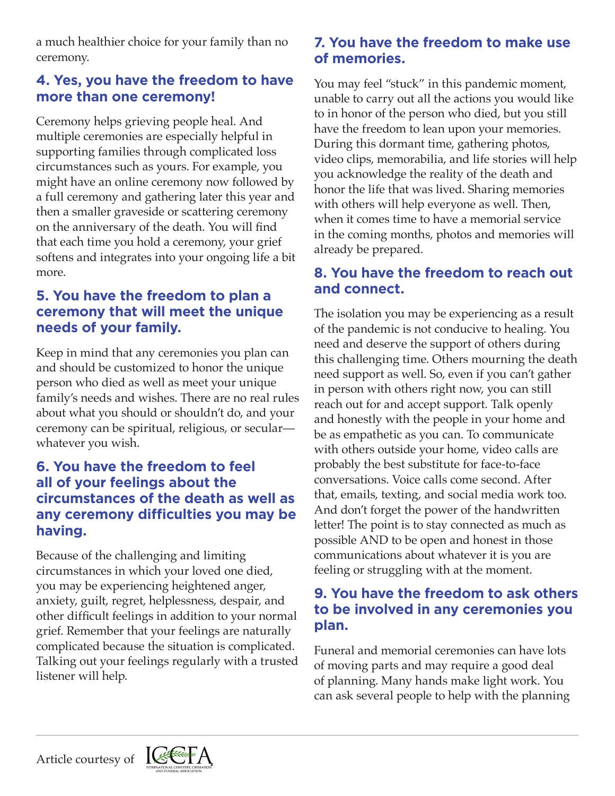a much healthier choice for your family than no ceremony.

#### **4. Yes, you have the freedom to have more than one ceremony!**

Ceremony helps grieving people heal. And multiple ceremonies are especially helpful in supporting families through complicated loss circumstances such as yours. For example, you might have an online ceremony now followed by a full ceremony and gathering later this year and then a smaller graveside or scattering ceremony on the anniversary of the death. You will find that each time you hold a ceremony, your grief softens and integrates into your ongoing life a bit more.

## **5. You have the freedom to plan a ceremony that will meet the unique needs of your family.**

Keep in mind that any ceremonies you plan can and should be customized to honor the unique person who died as well as meet your unique family's needs and wishes. There are no real rules about what you should or shouldn't do, and your ceremony can be spiritual, religious, or secular whatever you wish.

#### **6. You have the freedom to feel all of your feelings about the circumstances of the death as well as any ceremony difficulties you may be having.**

Because of the challenging and limiting circumstances in which your loved one died, you may be experiencing heightened anger, anxiety, guilt, regret, helplessness, despair, and other difficult feelings in addition to your normal grief. Remember that your feelings are naturally complicated because the situation is complicated. Talking out your feelings regularly with a trusted listener will help.

#### **7. You have the freedom to make use of memories.**

You may feel "stuck" in this pandemic moment, unable to carry out all the actions you would like to in honor of the person who died, but you still have the freedom to lean upon your memories. During this dormant time, gathering photos, video clips, memorabilia, and life stories will help you acknowledge the reality of the death and honor the life that was lived. Sharing memories with others will help everyone as well. Then, when it comes time to have a memorial service in the coming months, photos and memories will already be prepared.

## **8. You have the freedom to reach out and connect.**

The isolation you may be experiencing as a result of the pandemic is not conducive to healing. You need and deserve the support of others during this challenging time. Others mourning the death need support as well. So, even if you can't gather in person with others right now, you can still reach out for and accept support. Talk openly and honestly with the people in your home and be as empathetic as you can. To communicate with others outside your home, video calls are probably the best substitute for face-to-face conversations. Voice calls come second. After that, emails, texting, and social media work too. And don't forget the power of the handwritten letter! The point is to stay connected as much as possible AND to be open and honest in those communications about whatever it is you are feeling or struggling with at the moment.

#### **9. You have the freedom to ask others to be involved in any ceremonies you plan.**

Funeral and memorial ceremonies can have lots of moving parts and may require a good deal of planning. Many hands make light work. You can ask several people to help with the planning